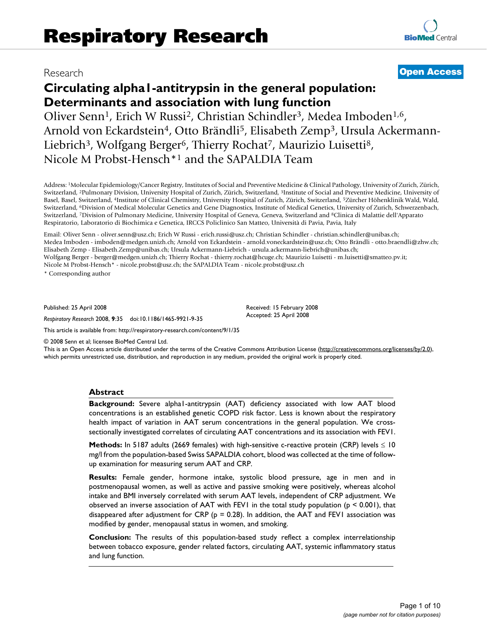**[BioMed](http://www.biomedcentral.com/)** Central

# **Circulating alpha1-antitrypsin in the general population: Determinants and association with lung function**

Oliver Senn<sup>1</sup>, Erich W Russi<sup>2</sup>, Christian Schindler<sup>3</sup>, Medea Imboden<sup>1,6</sup>, Arnold von Eckardstein<sup>4</sup>, Otto Brändli<sup>5</sup>, Elisabeth Zemp<sup>3</sup>, Ursula Ackermann-Liebrich<sup>3</sup>, Wolfgang Berger<sup>6</sup>, Thierry Rochat<sup>7</sup>, Maurizio Luisetti<sup>8</sup>, Nicole M Probst-Hensch\*1 and the SAPALDIA Team

Address: 1Molecular Epidemiology/Cancer Registry, Institutes of Social and Preventive Medicine & Clinical Pathology, University of Zurich, Zürich, Switzerland, 2Pulmonary Division, University Hospital of Zurich, Zürich, Switzerland, 3Institute of Social and Preventive Medicine, University of Basel, Basel, Switzerland, 4Institute of Clinical Chemistry, University Hospital of Zurich, Zürich, Switzerland, 5Zürcher Höhenklinik Wald, Wald, Switzerland, 6Division of Medical Molecular Genetics and Gene Diagnostics, Institute of Medical Genetics, University of Zurich, Schwerzenbach, Switzerland, 7Division of Pulmonary Medicine, University Hospital of Geneva, Geneva, Switzerland and 8Clinica di Malattie dell'Apparato Respiratorio, Laboratorio di Biochimica e Genetica, IRCCS Policlinico San Matteo, Università di Pavia, Pavia, Italy

Email: Oliver Senn - oliver.senn@usz.ch; Erich W Russi - erich.russi@usz.ch; Christian Schindler - christian.schindler@unibas.ch; Medea Imboden - imboden@medgen.unizh.ch; Arnold von Eckardstein - arnold.voneckardstein@usz.ch; Otto Brändli - otto.braendli@zhw.ch; Elisabeth Zemp - Elisabeth.Zemp@unibas.ch; Ursula Ackermann-Liebrich - ursula.ackermann-liebrich@unibas.ch; Wolfgang Berger - berger@medgen.unizh.ch; Thierry Rochat - thierry.rochat@hcuge.ch; Maurizio Luisetti - m.luisetti@smatteo.pv.it; Nicole M Probst-Hensch\* - nicole.probst@usz.ch; the SAPALDIA Team - nicole.probst@usz.ch

\* Corresponding author

Published: 25 April 2008

*Respiratory Research* 2008, **9**:35 doi:10.1186/1465-9921-9-35

Received: 15 February 2008 Accepted: 25 April 2008

[This article is available from: http://respiratory-research.com/content/9/1/35](http://respiratory-research.com/content/9/1/35)

© 2008 Senn et al; licensee BioMed Central Ltd.

This is an Open Access article distributed under the terms of the Creative Commons Attribution License [\(http://creativecommons.org/licenses/by/2.0\)](http://creativecommons.org/licenses/by/2.0), which permits unrestricted use, distribution, and reproduction in any medium, provided the original work is properly cited.

#### **Abstract**

**Background:** Severe alpha1-antitrypsin (AAT) deficiency associated with low AAT blood concentrations is an established genetic COPD risk factor. Less is known about the respiratory health impact of variation in AAT serum concentrations in the general population. We crosssectionally investigated correlates of circulating AAT concentrations and its association with FEV1.

**Methods:** In 5187 adults (2669 females) with high-sensitive c-reactive protein (CRP) levels ≤ 10 mg/l from the population-based Swiss SAPALDIA cohort, blood was collected at the time of followup examination for measuring serum AAT and CRP.

**Results:** Female gender, hormone intake, systolic blood pressure, age in men and in postmenopausal women, as well as active and passive smoking were positively, whereas alcohol intake and BMI inversely correlated with serum AAT levels, independent of CRP adjustment. We observed an inverse association of AAT with FEV1 in the total study population ( $p < 0.001$ ), that disappeared after adjustment for CRP ( $p = 0.28$ ). In addition, the AAT and FEVI association was modified by gender, menopausal status in women, and smoking.

**Conclusion:** The results of this population-based study reflect a complex interrelationship between tobacco exposure, gender related factors, circulating AAT, systemic inflammatory status and lung function.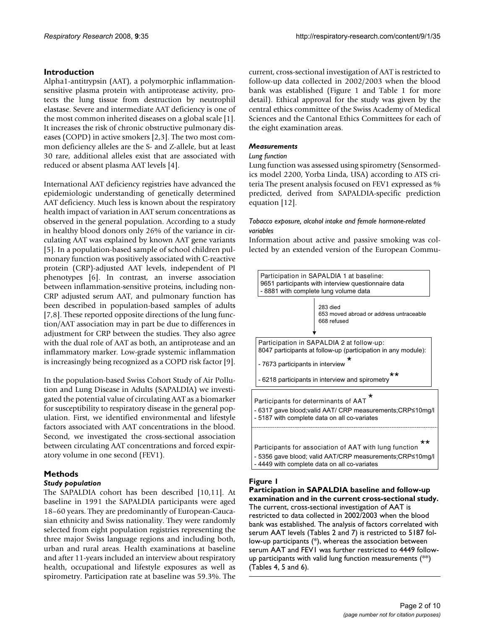### **Introduction**

Alpha1-antitrypsin (AAT), a polymorphic inflammationsensitive plasma protein with antiprotease activity, protects the lung tissue from destruction by neutrophil elastase. Severe and intermediate AAT deficiency is one of the most common inherited diseases on a global scale [1]. It increases the risk of chronic obstructive pulmonary diseases (COPD) in active smokers [2,3]. The two most common deficiency alleles are the S- and Z-allele, but at least 30 rare, additional alleles exist that are associated with reduced or absent plasma AAT levels [4].

International AAT deficiency registries have advanced the epidemiologic understanding of genetically determined AAT deficiency. Much less is known about the respiratory health impact of variation in AAT serum concentrations as observed in the general population. According to a study in healthy blood donors only 26% of the variance in circulating AAT was explained by known AAT gene variants [5]. In a population-based sample of school children pulmonary function was positively associated with C-reactive protein (CRP)-adjusted AAT levels, independent of PI phenotypes [6]. In contrast, an inverse association between inflammation-sensitive proteins, including non-CRP adjusted serum AAT, and pulmonary function has been described in population-based samples of adults [7,8]. These reported opposite directions of the lung function/AAT association may in part be due to differences in adjustment for CRP between the studies. They also agree with the dual role of AAT as both, an antiprotease and an inflammatory marker. Low-grade systemic inflammation is increasingly being recognized as a COPD risk factor [9].

In the population-based Swiss Cohort Study of Air Pollution and Lung Disease in Adults (SAPALDIA) we investigated the potential value of circulating AAT as a biomarker for susceptibility to respiratory disease in the general population. First, we identified environmental and lifestyle factors associated with AAT concentrations in the blood. Second, we investigated the cross-sectional association between circulating AAT concentrations and forced expiratory volume in one second (FEV1).

### **Methods**

### *Study population*

The SAPALDIA cohort has been described [10,11]. At baseline in 1991 the SAPALDIA participants were aged 18–60 years. They are predominantly of European-Caucasian ethnicity and Swiss nationality. They were randomly selected from eight population registries representing the three major Swiss language regions and including both, urban and rural areas. Health examinations at baseline and after 11-years included an interview about respiratory health, occupational and lifestyle exposures as well as spirometry. Participation rate at baseline was 59.3%. The current, cross-sectional investigation of AAT is restricted to follow-up data collected in 2002/2003 when the blood bank was established (Figure 1 and Table 1 for more detail). Ethical approval for the study was given by the central ethics committee of the Swiss Academy of Medical Sciences and the Cantonal Ethics Committees for each of the eight examination areas.

### *Measurements*

### *Lung function*

Lung function was assessed using spirometry (Sensormedics model 2200, Yorba Linda, USA) according to ATS criteria The present analysis focused on FEV1 expressed as % predicted, derived from SAPALDIA-specific prediction equation [12].

### *Tobacco exposure, alcohol intake and female hormone-related variables*

Information about active and passive smoking was collected by an extended version of the European Commu-



### **Figure 1**

**Participation in SAPALDIA baseline and follow-up examination and in the current cross-sectional study.** The current, cross-sectional investigation of AAT is restricted to data collected in 2002/2003 when the blood bank was established. The analysis of factors correlated with serum AAT levels (Tables 2 and 7) is restricted to 5187 follow-up participants (\*), whereas the association between serum AAT and FEV1 was further restricted to 4449 followup participants with valid lung function measurements (\*\*) (Tables 4, 5 and 6).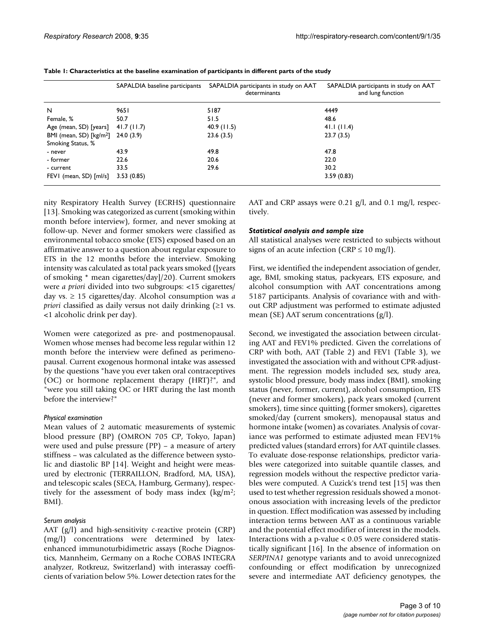|                                                          | SAPALDIA baseline participants | SAPALDIA participants in study on AAT<br>determinants | SAPALDIA participants in study on AAT<br>and lung function |
|----------------------------------------------------------|--------------------------------|-------------------------------------------------------|------------------------------------------------------------|
| N                                                        | 9651                           | 5187                                                  | 4449                                                       |
| Female, %                                                | 50.7                           | 51.5                                                  | 48.6                                                       |
| Age (mean, SD) [years]                                   | 41.7(11.7)                     | 40.9(11.5)                                            | 41.1(11.4)                                                 |
| BMI (mean, SD) [kg/m <sup>2</sup> ]<br>Smoking Status, % | 24.0(3.9)                      | 23.6(3.5)                                             | 23.7(3.5)                                                  |
| - never                                                  | 43.9                           | 49.8                                                  | 47.8                                                       |
| - former                                                 | 22.6                           | 20.6                                                  | 22.0                                                       |
| - current                                                | 33.5                           | 29.6                                                  | 30.2                                                       |
| FEVI (mean, SD) [ml/s]                                   | 3.53(0.85)                     |                                                       | 3.59(0.83)                                                 |

**Table 1: Characteristics at the baseline examination of participants in different parts of the study**

nity Respiratory Health Survey (ECRHS) questionnaire [13]. Smoking was categorized as current (smoking within month before interview), former, and never smoking at follow-up. Never and former smokers were classified as environmental tobacco smoke (ETS) exposed based on an affirmative answer to a question about regular exposure to ETS in the 12 months before the interview. Smoking intensity was calculated as total pack years smoked ([years of smoking \* mean cigarettes/day]/20). Current smokers were *a priori* divided into two subgroups: <15 cigarettes/ day vs. ≥ 15 cigarettes/day. Alcohol consumption was *a priori* classified as daily versus not daily drinking  $(\geq 1 \text{ vs.})$ <1 alcoholic drink per day).

Women were categorized as pre- and postmenopausal. Women whose menses had become less regular within 12 month before the interview were defined as perimenopausal. Current exogenous hormonal intake was assessed by the questions "have you ever taken oral contraceptives (OC) or hormone replacement therapy (HRT)?", and "were you still taking OC or HRT during the last month before the interview?"

#### *Physical examination*

Mean values of 2 automatic measurements of systemic blood pressure (BP) (OMRON 705 CP, Tokyo, Japan) were used and pulse pressure (PP) – a measure of artery stiffness – was calculated as the difference between systolic and diastolic BP [14]. Weight and height were measured by electronic (TERRAILLON, Bradford, MA, USA), and telescopic scales (SECA, Hamburg, Germany), respectively for the assessment of body mass index  $\frac{\text{kg}}{m^2}$ ; BMI).

### *Serum analysis*

AAT (g/l) and high-sensitivity c-reactive protein (CRP) (mg/l) concentrations were determined by latexenhanced immunoturbidimetric assays (Roche Diagnostics, Mannheim, Germany on a Roche COBAS INTEGRA analyzer, Rotkreuz, Switzerland) with interassay coefficients of variation below 5%. Lower detection rates for the AAT and CRP assays were 0.21 g/l, and 0.1 mg/l, respectively.

### *Statistical analysis and sample size*

All statistical analyses were restricted to subjects without signs of an acute infection (CRP  $\leq 10$  mg/l).

First, we identified the independent association of gender, age, BMI, smoking status, packyears, ETS exposure, and alcohol consumption with AAT concentrations among 5187 participants. Analysis of covariance with and without CRP adjustment was performed to estimate adjusted mean (SE) AAT serum concentrations (g/l).

Second, we investigated the association between circulating AAT and FEV1% predicted. Given the correlations of CRP with both, AAT (Table 2) and FEV1 (Table 3), we investigated the association with and without CPR-adjustment. The regression models included sex, study area, systolic blood pressure, body mass index (BMI), smoking status (never, former, current), alcohol consumption, ETS (never and former smokers), pack years smoked (current smokers), time since quitting (former smokers), cigarettes smoked/day (current smokers), menopausal status and hormone intake (women) as covariates. Analysis of covariance was performed to estimate adjusted mean FEV1% predicted values (standard errors) for AAT quintile classes. To evaluate dose-response relationships, predictor variables were categorized into suitable quantile classes, and regression models without the respective predictor variables were computed. A Cuzick's trend test [15] was then used to test whether regression residuals showed a monotonous association with increasing levels of the predictor in question. Effect modification was assessed by including interaction terms between AAT as a continuous variable and the potential effect modifier of interest in the models. Interactions with a p-value < 0.05 were considered statistically significant [16]. In the absence of information on *SERPINA1* genotype variants and to avoid unrecognized confounding or effect modification by unrecognized severe and intermediate AAT deficiency genotypes, the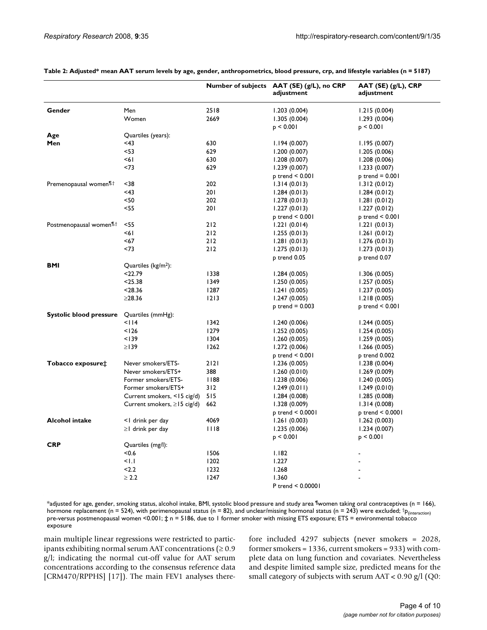|                                      |                                   |      | Number of subjects AAT (SE) (g/L), no CRP<br>adjustment | $AAT(SE) (g/L)$ , CRP<br>adjustment |
|--------------------------------------|-----------------------------------|------|---------------------------------------------------------|-------------------------------------|
| Gender                               | Men                               | 2518 | 1.203(0.004)                                            | 1.215(0.004)                        |
|                                      | Women                             | 2669 | 1.305(0.004)                                            | 1.293 (0.004)                       |
|                                      |                                   |      | $p \le 0.001$                                           | $p \leq 0.001$                      |
| Age                                  | Quartiles (years):                |      |                                                         |                                     |
| Men                                  | <43                               | 630  | 1.194(0.007)                                            | 1.195(0.007)                        |
|                                      | <53                               | 629  | 1.200(0.007)                                            | 1.205(0.006)                        |
|                                      | ا6>                               | 630  | 1.208(0.007)                                            | 1.208(0.006)                        |
|                                      | <73                               | 629  | 1.239(0.007)                                            | 1.233(0.007)                        |
|                                      |                                   |      | $p$ trend $< 0.001$                                     | $p$ trend = 0.00 l                  |
| Premenopausal women <sup>11,†</sup>  | $38$                              | 202  | 1.314(0.013)                                            | 1.312(0.012)                        |
|                                      | <43                               | 201  | 1.284(0.013)                                            | 1.284(0.012)                        |
|                                      | <50                               | 202  | 1.278(0.013)                                            | 1.281(0.012)                        |
|                                      | <55                               | 201  | 1.227(0.013)                                            | 1.227(0.012)                        |
|                                      |                                   |      | $p$ trend $< 0.001$                                     | $p$ trend $< 0.001$                 |
| Postmenopausal women <sup>11,†</sup> | $<$ 55                            | 212  | 1.221(0.014)                                            | 1.221(0.013)                        |
|                                      | <6∣                               | 212  | 1.255(0.013)                                            | 1.261(0.012)                        |
|                                      | <67                               | 212  | 1.281(0.013)                                            | 1.276(0.013)                        |
|                                      | <73                               | 212  | 1.275(0.013)                                            | 1.273(0.013)                        |
|                                      |                                   |      | p trend 0.05                                            | p trend 0.07                        |
| <b>BMI</b>                           | Quartiles $(kg/m2)$ :             |      |                                                         |                                     |
|                                      | <22.79                            | 1338 | 1.284(0.005)                                            | 1.306(0.005)                        |
|                                      | $25.38$                           | 1349 | 1.250(0.005)                                            | 1.257(0.005)                        |
|                                      | $28.36$                           | 1287 | 1.241(0.005)                                            | 1.237(0.005)                        |
|                                      | $\geq$ 28.36                      | 1213 | 1.247(0.005)                                            | 1.218(0.005)                        |
|                                      |                                   |      | $p$ trend = 0.003                                       | p trend < 0.001                     |
| <b>Systolic blood pressure</b>       | Quartiles (mmHg):                 |      |                                                         |                                     |
|                                      | <114                              | 1342 | 1.240(0.006)                                            | 1.244(0.005)                        |
|                                      | 126                               | 1279 | 1.252(0.005)                                            | 1.254(0.005)                        |
|                                      | < 139                             | 1304 | 1.260(0.005)                                            | 1.259(0.005)                        |
|                                      | $\geq$ 139                        | 1262 | 1.272(0.006)                                            | 1.266(0.005)                        |
|                                      |                                   |      | $p$ trend $< 0.001$                                     | p trend 0.002                       |
| Tobacco exposure <sup>+</sup>        | Never smokers/ETS-                | 2121 | 1.236(0.005)                                            | 1.238(0.004)                        |
|                                      | Never smokers/ETS+                | 388  | 1.260(0.010)                                            | 1.269(0.009)                        |
|                                      | Former smokers/ETS-               | 88   | 1.238(0.006)                                            | 1.240(0.005)                        |
|                                      | Former smokers/ETS+               | 312  | 1.249(0.011)                                            | 1.249(0.010)                        |
|                                      | Current smokers, <15 cig/d)       | 515  | 1.284(0.008)                                            | 1.285(0.008)                        |
|                                      | Current smokers, $\geq$ 15 cig/d) | 662  | 1.328 (0.009)                                           | 1.314(0.008)                        |
|                                      |                                   |      | $p$ trend $< 0.0001$                                    | $p$ trend $\leq 0.0001$             |
| <b>Alcohol intake</b>                | <1 drink per day                  | 4069 | 1.261(0.003)                                            | 1.262(0.003)                        |
|                                      | $\geq$   drink per day            | 1118 | 1.235(0.006)                                            | 1.234(0.007)                        |
|                                      |                                   |      | p < 0.001                                               | p < 0.001                           |
| <b>CRP</b>                           | Quartiles (mg/l):                 |      |                                                         |                                     |
|                                      | <0.6                              | 1506 | 1.182                                                   |                                     |
|                                      | $\leq$ $\vert$ . $\vert$          | 1202 | 1.227                                                   |                                     |
|                                      | 2.2                               | 1232 | 1.268                                                   |                                     |
|                                      | $\geq$ 2.2                        | 1247 | 1.360                                                   |                                     |
|                                      |                                   |      | P trend < 0.00001                                       |                                     |

**Table 2: Adjusted\* mean AAT serum levels by age, gender, anthropometrics, blood pressure, crp, and lifestyle variables (n = 5187)**

\*adjusted for age, gender, smoking status, alcohol intake, BMI, systolic blood pressure and study area ¶women taking oral contraceptives (n = 166), hormone replacement (n = 524), with perimenopausal status (n = 82), and unclear/missing hormonal status (n = 243) were excluded;  $tp_{(interaction)}$ pre-versus postmenopausal women <0.001; **‡** n = 5186, due to 1 former smoker with missing ETS exposure; ETS = environmental tobacco exposure

main multiple linear regressions were restricted to participants exhibiting normal serum AAT concentrations ( $\geq 0.9$ g/l; indicating the normal cut-off value for AAT serum concentrations according to the consensus reference data [CRM470/RPPHS] [17]). The main FEV1 analyses therefore included 4297 subjects (never smokers = 2028, former smokers = 1336, current smokers = 933) with complete data on lung function and covariates. Nevertheless and despite limited sample size, predicted means for the small category of subjects with serum AAT < 0.90 g/l (Q0: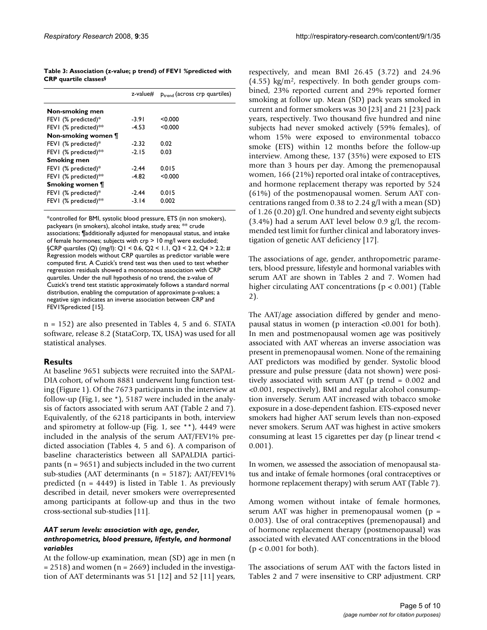**Table 3: Association (z-value; p trend) of FEV1 %predicted with CRP quartile classes§**

|                      | z-value# | $p_{trend}$ (across crp quartiles) |
|----------------------|----------|------------------------------------|
| Non-smoking men      |          |                                    |
| FEVI (% predicted)*  | -3.91    | < 0.000                            |
| FEVI (% predicted)** | $-4.53$  | < 0.000                            |
| Non-smoking women ¶  |          |                                    |
| FEVI (% predicted)*  | $-2.32$  | 0.02                               |
| FEVI (% predicted)** | $-2.15$  | 0.03                               |
| <b>Smoking men</b>   |          |                                    |
| FEVI (% predicted)*  | $-2.44$  | 0.015                              |
| FEVI (% predicted)** | $-4.82$  | < 0.000                            |
| Smoking women ¶      |          |                                    |
| FEVI (% predicted)*  | $-2.44$  | 0.015                              |
| FEVI (% predicted)** | $-3.14$  | 0.002                              |

\*controlled for BMI, systolic blood pressure, ETS (in non smokers), packyears (in smokers), alcohol intake, study area; \*\* crude associations; ¶additionally adjusted for menopausal status, and intake of female hormones; subjects with crp > 10 mg/l were excluded; §CRP quartiles (Q) (mg/l): Q1 < 0.6, Q2 < 1.1, Q3 < 2.2, Q4 > 2.2; # Regression models without CRP quartiles as predictor variable were computed first. A Cuzick's trend test was then used to test whether regression residuals showed a monotonous association with CRP quartiles. Under the null hypothesis of no trend, the z-value of Cuzick's trend test statistic approximately follows a standard normal distribution, enabling the computation of approximate p-values; a negative sign indicates an inverse association between CRP and FEV1%predicted [15].

n = 152) are also presented in Tables 4, 5 and 6. STATA software, release 8.2 (StataCorp, TX, USA) was used for all statistical analyses.

### **Results**

At baseline 9651 subjects were recruited into the SAPAL-DIA cohort, of whom 8881 underwent lung function testing (Figure 1). Of the 7673 participants in the interview at follow-up (Fig.1, see \*), 5187 were included in the analysis of factors associated with serum AAT (Table 2 and 7). Equivalently, of the 6218 participants in both, interview and spirometry at follow-up (Fig. 1, see \*\*), 4449 were included in the analysis of the serum AAT/FEV1% predicted association (Tables 4, 5 and 6). A comparison of baseline characteristics between all SAPALDIA participants ( $n = 9651$ ) and subjects included in the two current sub-studies (AAT determinants (n = 5187); AAT/FEV1% predicted  $(n = 4449)$  is listed in Table 1. As previously described in detail, never smokers were overrepresented among participants at follow-up and thus in the two cross-sectional sub-studies [11].

#### *AAT serum levels: association with age, gender, anthropometrics, blood pressure, lifestyle, and hormonal variables*

At the follow-up examination, mean (SD) age in men (n  $= 2518$ ) and women (n = 2669) included in the investigation of AAT determinants was 51 [12] and 52 [11] years,

respectively, and mean BMI 26.45 (3.72) and 24.96  $(4.55)$  kg/m<sup>2</sup>, respectively. In both gender groups combined, 23% reported current and 29% reported former smoking at follow up. Mean (SD) pack years smoked in current and former smokers was 30 [23] and 21 [23] pack years, respectively. Two thousand five hundred and nine subjects had never smoked actively (59% females), of whom 15% were exposed to environmental tobacco smoke (ETS) within 12 months before the follow-up interview. Among these, 137 (35%) were exposed to ETS more than 3 hours per day. Among the premenopausal women, 166 (21%) reported oral intake of contraceptives, and hormone replacement therapy was reported by 524 (61%) of the postmenopausal women. Serum AAT concentrations ranged from 0.38 to 2.24 g/l with a mean (SD) of 1.26 (0.20) g/l. One hundred and seventy eight subjects  $(3.4\%)$  had a serum AAT level below 0.9 g/l, the recommended test limit for further clinical and laboratory investigation of genetic AAT deficiency [17].

The associations of age, gender, anthropometric parameters, blood pressure, lifestyle and hormonal variables with serum AAT are shown in Tables 2 and 7. Women had higher circulating AAT concentrations (p < 0.001) (Table 2).

The AAT/age association differed by gender and menopausal status in women (p interaction <0.001 for both). In men and postmenopausal women age was positively associated with AAT whereas an inverse association was present in premenopausal women. None of the remaining AAT predictors was modified by gender. Systolic blood pressure and pulse pressure (data not shown) were positively associated with serum AAT (p trend = 0.002 and <0.001, respectively), BMI and regular alcohol consumption inversely. Serum AAT increased with tobacco smoke exposure in a dose-dependent fashion. ETS-exposed never smokers had higher AAT serum levels than non-exposed never smokers. Serum AAT was highest in active smokers consuming at least 15 cigarettes per day (p linear trend < 0.001).

In women, we assessed the association of menopausal status and intake of female hormones (oral contraceptives or hormone replacement therapy) with serum AAT (Table 7).

Among women without intake of female hormones, serum AAT was higher in premenopausal women (p = 0.003). Use of oral contraceptives (premenopausal) and of hormone replacement therapy (postmenopausal) was associated with elevated AAT concentrations in the blood (p < 0.001 for both).

The associations of serum AAT with the factors listed in Tables 2 and 7 were insensitive to CRP adjustment. CRP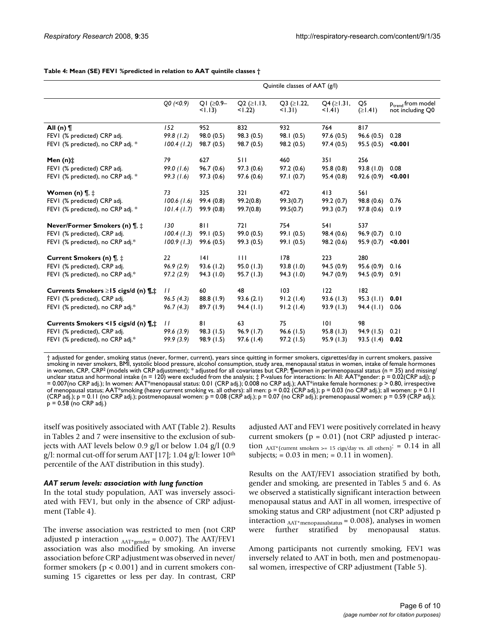|                                                         | Quintile classes of AAT (g/l) |                     |                               |                                   |                                   |                      |                                                   |
|---------------------------------------------------------|-------------------------------|---------------------|-------------------------------|-----------------------------------|-----------------------------------|----------------------|---------------------------------------------------|
|                                                         | $Q0$ (<0.9)                   | QI (≥0.9–<br>< 1.13 | $Q2$ ( $\geq$ 1.13,<br>< 1.22 | $Q3$ ( $\geq$ 1.22,<br>$< 1.31$ ) | $Q4$ ( $\geq$ 1.31,<br>$< 1.41$ ) | Q5<br>$(\geq$   .41) | P <sub>trend</sub> from model<br>not including Q0 |
| All (n) $\P$                                            | 152                           | 952                 | 832                           | 932                               | 764                               | 817                  |                                                   |
| FEVI (% predicted) CRP adj.                             | 99.8(1.2)                     | 98.0 (0.5)          | 98.3(0.5)                     | 98.1 (0.5)                        | 97.6(0.5)                         | 96.6(0.5)            | 0.28                                              |
| FEVI (% predicted), no CRP adj. *                       | 100.4(1.2)                    | 98.7 (0.5)          | 98.7 (0.5)                    | 98.2 (0.5)                        | 97.4(0.5)                         | 95.5 (0.5)           | < 0.001                                           |
| Men $(n)$ $\ddagger$                                    | 79                            | 627                 | 511                           | 460                               | 35 I                              | 256                  |                                                   |
| FEVI (% predicted) CRP adj.                             | 99.0(1.6)                     | 96.7(0.6)           | 97.3(0.6)                     | 97.2(0.6)                         | 95.8(0.8)                         | 93.8 (1.0)           | 0.08                                              |
| FEVI (% predicted), no CRP adj. *                       | 99.3(1.6)                     | 97.3(0.6)           | 97.6(0.6)                     | 97.1(0.7)                         | 95.4(0.8)                         | 92.6(0.9)            | < 0.001                                           |
| Women (n) $\P$ , $\ddagger$                             | 73                            | 325                 | 321                           | 472                               | 413                               | 561                  |                                                   |
| FEVI (% predicted) CRP adj.                             | 100.6(1.6)                    | 99.4(0.8)           | 99.2(0.8)                     | 99.3(0.7)                         | 99.2(0.7)                         | 98.8 (0.6)           | 0.76                                              |
| FEVI (% predicted), no CRP adj. *                       | 101.4(1.7)                    | 99.9(0.8)           | 99.7(0.8)                     | 99.5(0.7)                         | 99.3(0.7)                         | 97.8(0.6)            | 0.19                                              |
| Never/Former Smokers (n) ¶, ‡                           | 130                           | 811                 | 721                           | 754                               | <b>541</b>                        | 537                  |                                                   |
| FEVI (% predicted), CRP adj.                            | 100.4(1.3)                    | 99.1(0.5)           | 99.0(0.5)                     | 99.1 (0.5)                        | 98.4 (0.6)                        | 96.9(0.7)            | 0.10                                              |
| FEVI (% predicted), no CRP adj.*                        | 100.9(1.3)                    | 99.6(0.5)           | 99.3(0.5)                     | 99.1(0.5)                         | 98.2 (0.6)                        | 95.9(0.7)            | < 0.001                                           |
| Current Smokers (n) $\P$ , $\ddagger$                   | 22                            | 4                   | $\mathbf{H}$                  | 178                               | 223                               | 280                  |                                                   |
| FEVI (% predicted), CRP adj.                            | 96.9(2.9)                     | 93.6(1.2)           | 95.0(1.3)                     | 93.8(1.0)                         | 94.5(0.9)                         | 95.6(0.9)            | 0.16                                              |
| FEVI (% predicted), no CRP adj.*                        | 97.2(2.9)                     | 94.3(1.0)           | 95.7(1.3)                     | 94.3 (1.0)                        | 94.7 (0.9)                        | 94.5(0.9)            | 0.91                                              |
| Currents Smokers $\geq$ 15 cigs/d (n) $\P$ , $\ddagger$ | $\perp$                       | 60                  | 48                            | 103                               | 122                               | 182                  |                                                   |
| FEVI (% predicted), CRP adj.                            | 96.5(4.3)                     | 88.8(1.9)           | 93.6(2.1)                     | 91.2(1.4)                         | 93.6(1.3)                         | 95.3(1.1)            | 0.01                                              |
| FEVI (% predicted), no CRP adj.*                        | 96.7(4.3)                     | 89.7(1.9)           | 94.4(1.1)                     | 91.2(1.4)                         | 93.9(1.3)                         | 94.4 (1.1)           | 0.06                                              |
| Currents Smokers <15 cigs/d (n) \,\\!                   | $\overline{11}$               | 81                  | 63                            | 75                                | 0                                 | 98                   |                                                   |
| FEVI (% predicted), CRP adj.                            | 99.6 (3.9)                    | 98.3 (1.5)          | 96.9(1.7)                     | 96.6(1.5)                         | 95.8 (1.3)                        | 94.9(1.5)            | 0.21                                              |
| FEVI (% predicted), no CRP adj.*                        | 99.9(3.9)                     | 98.9 (1.5)          | 97.6(1.4)                     | 97.2(1.5)                         | 95.9(1.3)                         | 93.5(1.4)            | 0.02                                              |

#### **Table 4: Mean (SE) FEV1 %predicted in relation to AAT quintile classes †**

† adjusted for gender, smoking status (never, former, current), years since quitting in former smokers, cigarettes/day in current smokers, passive smoking in never smokers, BMI, systolic blood pressure, alcohol consumption, study area, menopausal status in women, intake of female hormones in women, CRP, CRP<sup>2</sup> (models with CRP adjustment); \* adjusted for all covariates but CRP;  $\eta$  women in perimenopausal status (n = 35) and missing/ unclear status and hormonal intake (n = 120) were excluded from the analysis;  $\ddagger$  P-values for interactions: In All: AAT\*gender: p = 0.02(CRP adj); p = 0.007(no CRP adj.); In women: AAT\*menopausal status: 0.01 (CRP adj.); 0.008 no CRP adj.); AAT\*intake female hormones: p > 0.80, irrespective of menopausal status; AAT\*smoking (heavy current smoking vs. all others): all men: p = 0.02 (CRP adj.); p = 0.03 (no CRP adj.); all women: p = 0.11  $(CRP \text{ adj.})$ ; p = 0.11 (no CRP adj.); postmenopausal women: p = 0.08 (CRP adj.); p = 0.07 (no CRP adj.); premenopausal women: p = 0.59 (CRP adj.);  $p = 0.58$  (no CRP adj.)

itself was positively associated with AAT (Table 2). Results in Tables 2 and 7 were insensitive to the exclusion of subjects with AAT levels below 0.9 g/l or below 1.04 g/l (0.9 g/l: normal cut-off for serum AAT [17]; 1.04 g/l: lower  $10^{th}$ percentile of the AAT distribution in this study).

#### *AAT serum levels: association with lung function*

In the total study population, AAT was inversely associated with FEV1, but only in the absence of CRP adjustment (Table 4).

The inverse association was restricted to men (not CRP adjusted p interaction  $_{AAT*gender} = 0.007$ ). The AAT/FEV1 association was also modified by smoking. An inverse association before CRP adjustment was observed in never/ former smokers ( $p < 0.001$ ) and in current smokers consuming 15 cigarettes or less per day. In contrast, CRP adjusted AAT and FEV1 were positively correlated in heavy current smokers ( $p = 0.01$ ) (not CRP adjusted p interaction  $AAT^*$ (current smokers >= 15 cigs/day vs. all others): = 0.14 in all subjects;  $= 0.03$  in men;  $= 0.11$  in women).

Results on the AAT/FEV1 association stratified by both, gender and smoking, are presented in Tables 5 and 6. As we observed a statistically significant interaction between menopausal status and AAT in all women, irrespective of smoking status and CRP adjustment (not CRP adjusted p interaction  $_{AAT*$ menopausalstatus = 0.008), analyses in women were further stratified by menopausal status.

Among participants not currently smoking, FEV1 was inversely related to AAT in both, men and postmenopausal women, irrespective of CRP adjustment (Table 5).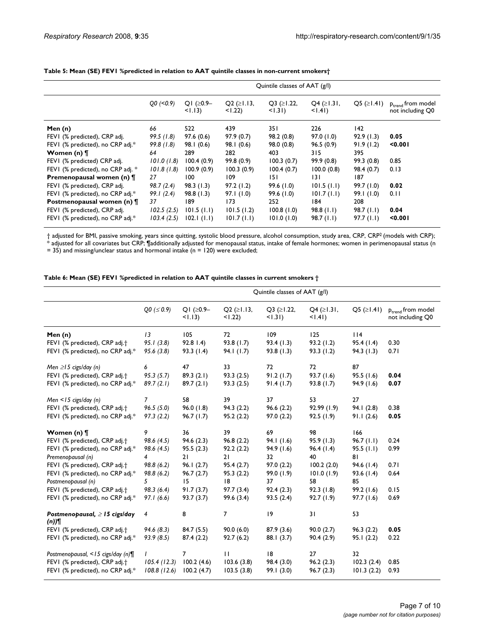|                                   | Quintile classes of AAT (g/l) |                        |                               |                               |                                     |                     |                                            |
|-----------------------------------|-------------------------------|------------------------|-------------------------------|-------------------------------|-------------------------------------|---------------------|--------------------------------------------|
|                                   | $Q_0$ (<0.9)                  | QI (≥0.9–<br>$<$ 1.13) | $Q2$ ( $\geq$ 1.13,<br>< 1.22 | $Q3$ ( $\geq$ 1.22,<br>< 1.31 | $Q4$ ( $\geq$ 1.31,<br>$<$ $(1.41)$ | $Q5$ ( $\geq$ 1.41) | $p_{trend}$ from model<br>not including Q0 |
| Men $(n)$                         | 66                            | 522                    | 439                           | 35 I                          | 226                                 | 142                 |                                            |
| FEVI (% predicted), CRP adj.      | 99.5(1.8)                     | 97.6(0.6)              | 97.9(0.7)                     | 98.2 (0.8)                    | 97.0(1.0)                           | 92.9(1.3)           | 0.05                                       |
| FEVI (% predicted), no CRP adj.*  | 99.8(1.8)                     | 98.1(0.6)              | 98.1(0.6)                     | 98.0 (0.8)                    | 96.5(0.9)                           | 91.9(1.2)           | 0.001                                      |
| Women (n) ¶                       | 64                            | 289                    | 282                           | 403                           | 315                                 | 395                 |                                            |
| FEVI (% predicted) CRP adj.       | 101.0(1.8)                    | 100.4(0.9)             | 99.8(0.9)                     | 100.3(0.7)                    | 99.9(0.8)                           | 99.3(0.8)           | 0.85                                       |
| FEVI (% predicted), no CRP adj. * | 101.8(1.8)                    | 100.9(0.9)             | 100.3(0.9)                    | 100.4(0.7)                    | 100.0(0.8)                          | 98.4(0.7)           | 0.13                                       |
| Premenopausal women (n) [         | 27                            | 100                    | 109                           | 151                           | 131                                 | 187                 |                                            |
| FEVI (% predicted), CRP adj.      | 98.7 (2.4)                    | 98.3(1.3)              | 97.2(1.2)                     | 99.6(1.0)                     | 101.5(1.1)                          | 99.7 (1.0)          | 0.02                                       |
| FEVI (% predicted), no CRP adj.*  | 99.1(2.4)                     | 98.8(1.3)              | 97.1(1.0)                     | 99.6(1.0)                     | 101.7(1.1)                          | 99.1(1.0)           | 0.11                                       |
| Postmenopausal women (n) ¶        | 37                            | 189                    | 173                           | 252                           | 184                                 | 208                 |                                            |
| FEVI (% predicted), CRP adj.      | 102.5(2.5)                    | 101.5(1.1)             | 101.5(1.2)                    | 100.8(1.0)                    | 98.8(1.1)                           | 98.7(1.1)           | 0.04                                       |
| FEVI (% predicted), no CRP adj.*  | 103.4(2.5)                    | $102.1$ $(1.1)$        | 101.7(1.1)                    | 101.0(1.0)                    | 98.7(1.1)                           | 97.7(1.1)           | 0.001                                      |

#### **Table 5: Mean (SE) FEV1 %predicted in relation to AAT quintile classes in non-current smokers†**

† adjusted for BMI, passive smoking, years since quitting, systolic blood pressure, alcohol consumption, study area, CRP, CRP2 (models with CRP); \* adjusted for all covariates but CRP; ¶additionally adjusted for menopausal status, intake of female hormones; women in perimenopausal status (n

 $= 35$ ) and missing/unclear status and hormonal intake (n = 120) were excluded;

**Table 6: Mean (SE) FEV1 %predicted in relation to AAT quintile classes in current smokers †**

| Quintile classes of AAT (g/l) |                        |                               |                                   |                                   |                         |                                                   |
|-------------------------------|------------------------|-------------------------------|-----------------------------------|-----------------------------------|-------------------------|---------------------------------------------------|
| $Q0 (= 0.9)$                  | $Q1 (20.9 -$<br>< 1.13 | $Q2$ ( $\geq$ 1.13,<br>< 1.22 | $Q3$ ( $\geq$ 1.22,<br>$< 1.31$ ) | $Q4$ ( $\geq$ 1.31,<br>$< 1.41$ ) | $Q5 ( \geq 1.41)$       | P <sub>trend</sub> from model<br>not including Q0 |
| 13                            | 105                    | 72                            | 109                               | 125                               | 114                     |                                                   |
| 95.1(3.8)                     | 92.81.4)               | 93.8(1.7)                     | 93.4(1.3)                         | 93.2(1.2)                         | 95.4(1.4)               | 0.30                                              |
| 95.6(3.8)                     | 93.3(1.4)              | 94.1(1.7)                     | 93.8(1.3)                         | 93.3(1.2)                         | 94.3 (1.3)              | 0.71                                              |
| 6                             | 47                     | 33                            | 72                                | 72                                | 87                      |                                                   |
| 95.3(5.7)                     | 89.3(2.1)              | 93.3(2.5)                     | 91.2(1.7)                         | 93.7 (1.6)                        |                         | 0.04                                              |
| 89.7(2.1)                     | 89.7(2.1)              | 93.3(2.5)                     | 91.4(1.7)                         | 93.8(1.7)                         | 94.9 (1.6)              | 0.07                                              |
| 7                             | 58                     | 39                            | 37                                | 53                                | 27                      |                                                   |
| 96.5(5.0)                     | 96.0(1.8)              | 94.3(2.2)                     | 96.6(2.2)                         | 92.99(1.9)                        | 94.1(2.8)               | 0.38                                              |
| 97.3(2.2)                     | 96.7(1.7)              | 95.2(2.2)                     | 97.0(2.2)                         | 92.5(1.9)                         | 91.1(2.6)               | 0.05                                              |
| 9                             | 36                     | 39                            | 69                                | 98                                | 166                     |                                                   |
| 98.6(4.5)                     | 94.6(2.3)              | 96.8(2.2)                     | 94.1(1.6)                         | 95.9(1.3)                         | 96.7(1.1)               | 0.24                                              |
| 98.6 (4.5)                    | 95.5(2.3)              | 92.2(2.2)                     | 94.9 (1.6)                        | 96.4(1.4)                         | 95.5(1.1)               | 0.99                                              |
| $\overline{4}$                | 21                     | 21                            | 32 <sub>2</sub>                   | 40                                | 81                      |                                                   |
| 98.8(6.2)                     | 96.1(2.7)              | 95.4(2.7)                     | 97.0(2.2)                         | 100.2(2.0)                        | 94.6(1.4)               | 0.71                                              |
| 98.8(6.2)                     | 96.7(2.7)              | 95.3(2.2)                     | 99.0(1.9)                         |                                   | 93.6(1.4)               | 0.64                                              |
| 5                             | 15                     | 18                            | 37                                | 58                                | 85                      |                                                   |
| 98.3(6.4)                     | 91.7(3.7)              | 97.7(3.4)                     | 92.4(2.3)                         | 92.3(1.8)                         |                         | 0.15                                              |
| 97.1(6.6)                     | 93.7(3.7)              | 99.6(3.4)                     | 93.5(2.4)                         |                                   | 97.7(1.6)               | 0.69                                              |
| 4                             | 8                      | 7                             | 9                                 | 31                                | 53                      |                                                   |
| 94.6(8.3)                     | 84.7 (5.5)             | 90.0(6.0)                     | 87.9(3.6)                         | 90.0(2.7)                         | 96.3(2.2)               | 0.05                                              |
| 93.9(8.5)                     | 87.4(2.2)              | 92.7(6.2)                     | 88.1 (3.7)                        | 90.4(2.9)                         | 95.1(2.2)               | 0.22                                              |
|                               | $\overline{7}$         | $\mathbf{H}$                  | 8                                 | 27                                | 32                      |                                                   |
| 105.4(12.3)                   | 100.2(4.6)             | 103.6(3.8)                    | 98.4 (3.0)                        | 96.2(2.3)                         | 102.3(2.4)              | 0.85                                              |
| 108.8(12.6)                   | 100.2(4.7)             | 103.5(3.8)                    | 99.1 (3.0)                        | 96.7(2.3)                         | 101.3(2.2)              | 0.93                                              |
|                               |                        |                               |                                   |                                   | 101.0(1.9)<br>92.7(1.9) | 95.5 (1.6)<br>99.2 (1.6)                          |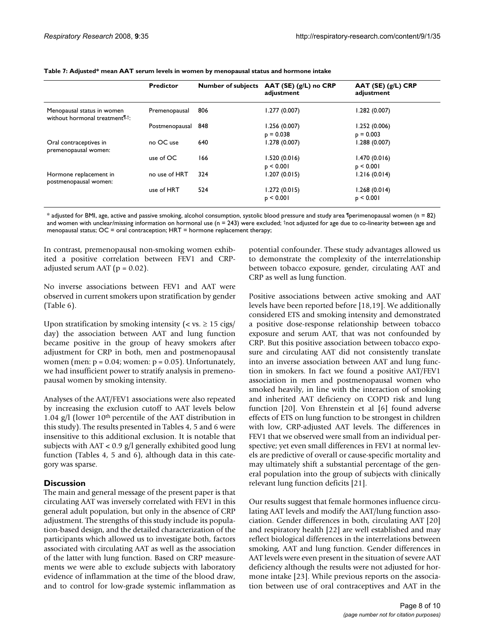|                                                                            | <b>Predictor</b> |     | Number of subjects AAT (SE) (g/L) no CRP<br>adjustment | $AAT(SE)$ (g/L) CRP<br>adjustment |
|----------------------------------------------------------------------------|------------------|-----|--------------------------------------------------------|-----------------------------------|
| Menopausal status in women<br>without hormonal treatment <sup>[1,†</sup> : | Premenopausal    | 806 | 1.277(0.007)                                           | 1.282 (0.007)                     |
|                                                                            | Postmenopausal   | 848 | 1.256(0.007)                                           | 1.252(0.006)                      |
|                                                                            |                  |     | $p = 0.038$                                            | $p = 0.003$                       |
| Oral contraceptives in<br>premenopausal women:                             | no OC use        | 640 | 1.278(0.007)                                           | 1.288 (0.007)                     |
|                                                                            | use of OC        | 166 | 1.520(0.016)                                           | 1.470(0.016)                      |
|                                                                            |                  |     | p < 0.001                                              | p < 0.001                         |
| Hormone replacement in<br>postmenopausal women:                            | no use of HRT    | 324 | 1.207 (0.015)                                          | 1.216(0.014)                      |
|                                                                            | use of HRT       | 524 | 1.272(0.015)                                           | 1.268(0.014)                      |
|                                                                            |                  |     | p < 0.001                                              | p < 0.001                         |

**Table 7: Adjusted\* mean AAT serum levels in women by menopausal status and hormone intake**

 $*$  adjusted for BMI, age, active and passive smoking, alcohol consumption, systolic blood pressure and study area Iperimenopausal women (n = 82) and women with unclear/missing information on hormonal use  $(n = 243)$  were excluded; thot adjusted for age due to co-linearity between age and menopausal status; OC = oral contraception; HRT = hormone replacement therapy;

In contrast, premenopausal non-smoking women exhibited a positive correlation between FEV1 and CRPadjusted serum AAT ( $p = 0.02$ ).

No inverse associations between FEV1 and AAT were observed in current smokers upon stratification by gender (Table 6).

Upon stratification by smoking intensity ( $\langle v \rangle \approx 15 \text{ cigs/}$ ) day) the association between AAT and lung function became positive in the group of heavy smokers after adjustment for CRP in both, men and postmenopausal women (men:  $p = 0.04$ ; women:  $p = 0.05$ ). Unfortunately, we had insufficient power to stratify analysis in premenopausal women by smoking intensity.

Analyses of the AAT/FEV1 associations were also repeated by increasing the exclusion cutoff to AAT levels below 1.04 g/l (lower 10th percentile of the AAT distribution in this study). The results presented in Tables 4, 5 and 6 were insensitive to this additional exclusion. It is notable that subjects with AAT < 0.9 g/l generally exhibited good lung function (Tables 4, 5 and 6), although data in this category was sparse.

### **Discussion**

The main and general message of the present paper is that circulating AAT was inversely correlated with FEV1 in this general adult population, but only in the absence of CRP adjustment. The strengths of this study include its population-based design, and the detailed characterization of the participants which allowed us to investigate both, factors associated with circulating AAT as well as the association of the latter with lung function. Based on CRP measurements we were able to exclude subjects with laboratory evidence of inflammation at the time of the blood draw, and to control for low-grade systemic inflammation as

potential confounder. These study advantages allowed us to demonstrate the complexity of the interrelationship between tobacco exposure, gender, circulating AAT and CRP as well as lung function.

Positive associations between active smoking and AAT levels have been reported before [18,19]. We additionally considered ETS and smoking intensity and demonstrated a positive dose-response relationship between tobacco exposure and serum AAT, that was not confounded by CRP. But this positive association between tobacco exposure and circulating AAT did not consistently translate into an inverse association between AAT and lung function in smokers. In fact we found a positive AAT/FEV1 association in men and postmenopausal women who smoked heavily, in line with the interaction of smoking and inherited AAT deficiency on COPD risk and lung function [20]. Von Ehrenstein et al [6] found adverse effects of ETS on lung function to be strongest in children with low, CRP-adjusted AAT levels. The differences in FEV1 that we observed were small from an individual perspective; yet even small differences in FEV1 at normal levels are predictive of overall or cause-specific mortality and may ultimately shift a substantial percentage of the general population into the group of subjects with clinically relevant lung function deficits [21].

Our results suggest that female hormones influence circulating AAT levels and modify the AAT/lung function association. Gender differences in both, circulating AAT [20] and respiratory health [22] are well established and may reflect biological differences in the interrelations between smoking, AAT and lung function. Gender differences in AAT levels were even present in the situation of severe AAT deficiency although the results were not adjusted for hormone intake [23]. While previous reports on the association between use of oral contraceptives and AAT in the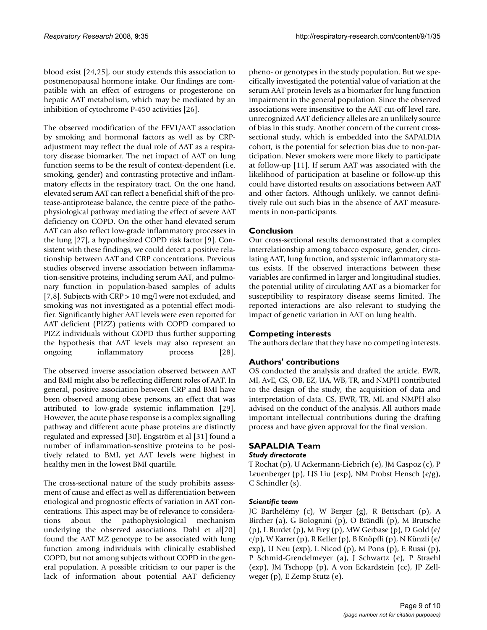blood exist [24,25], our study extends this association to postmenopausal hormone intake. Our findings are compatible with an effect of estrogens or progesterone on hepatic AAT metabolism, which may be mediated by an inhibition of cytochrome P-450 activities [26].

The observed modification of the FEV1/AAT association by smoking and hormonal factors as well as by CRPadjustment may reflect the dual role of AAT as a respiratory disease biomarker. The net impact of AAT on lung function seems to be the result of context-dependent (i.e. smoking, gender) and contrasting protective and inflammatory effects in the respiratory tract. On the one hand, elevated serum AAT can reflect a beneficial shift of the protease-antiprotease balance, the centre piece of the pathophysiological pathway mediating the effect of severe AAT deficiency on COPD. On the other hand elevated serum AAT can also reflect low-grade inflammatory processes in the lung [27], a hypothesized COPD risk factor [9]. Consistent with these findings, we could detect a positive relationship between AAT and CRP concentrations. Previous studies observed inverse association between inflammation-sensitive proteins, including serum AAT, and pulmonary function in population-based samples of adults [7,8]. Subjects with CRP > 10 mg/l were not excluded, and smoking was not investigated as a potential effect modifier. Significantly higher AAT levels were even reported for AAT deficient (PIZZ) patients with COPD compared to PIZZ individuals without COPD thus further supporting the hypothesis that AAT levels may also represent an ongoing inflammatory process [28].

The observed inverse association observed between AAT and BMI might also be reflecting different roles of AAT. In general, positive association between CRP and BMI have been observed among obese persons, an effect that was attributed to low-grade systemic inflammation [29]. However, the acute phase response is a complex signalling pathway and different acute phase proteins are distinctly regulated and expressed [30]. Engström et al [31] found a number of inflammation-sensitive proteins to be positively related to BMI, yet AAT levels were highest in healthy men in the lowest BMI quartile.

The cross-sectional nature of the study prohibits assessment of cause and effect as well as differentiation between etiological and prognostic effects of variation in AAT concentrations. This aspect may be of relevance to considerations about the pathophysiological mechanism underlying the observed associations. Dahl et al[20] found the AAT MZ genotype to be associated with lung function among individuals with clinically established COPD, but not among subjects without COPD in the general population. A possible criticism to our paper is the lack of information about potential AAT deficiency pheno- or genotypes in the study population. But we specifically investigated the potential value of variation at the serum AAT protein levels as a biomarker for lung function impairment in the general population. Since the observed associations were insensitive to the AAT cut-off level rare, unrecognized AAT deficiency alleles are an unlikely source of bias in this study. Another concern of the current crosssectional study, which is embedded into the SAPALDIA cohort, is the potential for selection bias due to non-participation. Never smokers were more likely to participate at follow-up [11]. If serum AAT was associated with the likelihood of participation at baseline or follow-up this could have distorted results on associations between AAT and other factors. Although unlikely, we cannot definitively rule out such bias in the absence of AAT measurements in non-participants.

## **Conclusion**

Our cross-sectional results demonstrated that a complex interrelationship among tobacco exposure, gender, circulating AAT, lung function, and systemic inflammatory status exists. If the observed interactions between these variables are confirmed in larger and longitudinal studies, the potential utility of circulating AAT as a biomarker for susceptibility to respiratory disease seems limited. The reported interactions are also relevant to studying the impact of genetic variation in AAT on lung health.

## **Competing interests**

The authors declare that they have no competing interests.

## **Authors' contributions**

OS conducted the analysis and drafted the article. EWR, MI, AvE, CS, OB, EZ, UA, WB, TR, and NMPH contributed to the design of the study, the acquisition of data and interpretation of data. CS, EWR, TR, ML and NMPH also advised on the conduct of the analysis. All authors made important intellectual contributions during the drafting process and have given approval for the final version.

## **SAPALDIA Team**

### *Study directorate*

T Rochat (p), U Ackermann-Liebrich (e), JM Gaspoz (c), P Leuenberger (p), LJS Liu (exp), NM Probst Hensch (e/g), C Schindler (s).

### *Scientific team*

JC Barthélémy (c), W Berger (g), R Bettschart (p), A Bircher (a), G Bolognini (p), O Brändli (p), M Brutsche (p), L Burdet (p), M Frey (p), MW Gerbase (p), D Gold (e/ c/p), W Karrer (p), R Keller (p), B Knöpfli (p), N Künzli (e/ exp), U Neu (exp), L Nicod (p), M Pons (p), E Russi (p), P Schmid-Grendelmeyer (a), J Schwartz (e), P Straehl (exp), JM Tschopp (p), A von Eckardstein (cc), JP Zellweger (p), E Zemp Stutz (e).